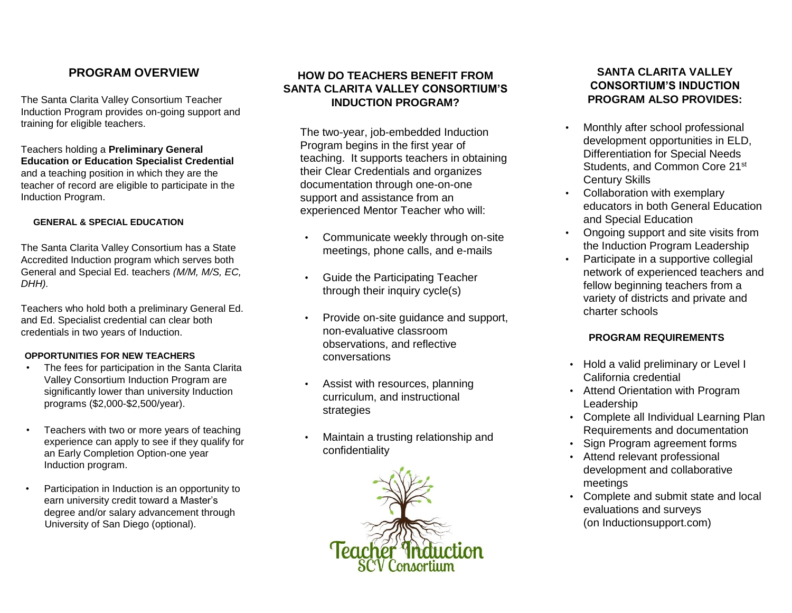## **PROGRAM OVERVIEW**

The Santa Clarita Valley Consortium Teacher Induction Program provides on-going support and training for eligible teachers.

Teachers holding a **Preliminary General Education or Education Specialist Credential** and a teaching position in which they are the teacher of record are eligible to participate in the Induction Program.

#### **GENERAL & SPECIAL EDUCATION**

The Santa Clarita Valley Consortium has a State Accredited Induction program which serves both General and Special Ed. teachers *(M/M, M/S, EC, DHH).*

Teachers who hold both a preliminary General Ed. and Ed. Specialist credential can clear both credentials in two years of Induction.

#### **OPPORTUNITIES FOR NEW TEACHERS**

- The fees for participation in the Santa Clarita Valley Consortium Induction Program are significantly lower than university Induction programs (\$2,000-\$2,500/year).
- Teachers with two or more years of teaching experience can apply to see if they qualify for an Early Completion Option-one year Induction program.
- Participation in Induction is an opportunity to earn university credit toward a Master's degree and/or salary advancement through University of San Diego (optional).

### **HOW DO TEACHERS BENEFIT FROM SANTA CLARITA VALLEY CONSORTIUM'S INDUCTION PROGRAM?**

The two-year, job-embedded Induction Program begins in the first year of teaching. It supports teachers in obtaining their Clear Credentials and organizes documentation through one-on-one support and assistance from an experienced Mentor Teacher who will:

- Communicate weekly through on-site meetings, phone calls, and e-mails
- Guide the Participating Teacher through their inquiry cycle(s)
- Provide on-site guidance and support, non-evaluative classroom observations, and reflective conversations
- Assist with resources, planning curriculum, and instructional strategies
- Maintain a trusting relationship and confidentiality



### **SANTA CLARITA VALLEY CONSORTIUM'S INDUCTION PROGRAM ALSO PROVIDES:**

- Monthly after school professional development opportunities in ELD, Differentiation for Special Needs Students, and Common Core 21<sup>st</sup> Century Skills
- Collaboration with exemplary educators in both General Education and Special Education
- Ongoing support and site visits from the Induction Program Leadership
- Participate in a supportive collegial network of experienced teachers and fellow beginning teachers from a variety of districts and private and charter schools

#### **PROGRAM REQUIREMENTS**

- Hold a valid preliminary or Level I California credential
- Attend Orientation with Program Leadership
- Complete all Individual Learning Plan Requirements and documentation
- Sign Program agreement forms
- Attend relevant professional development and collaborative meetings
- Complete and submit state and local evaluations and surveys (on Inductionsupport.com)